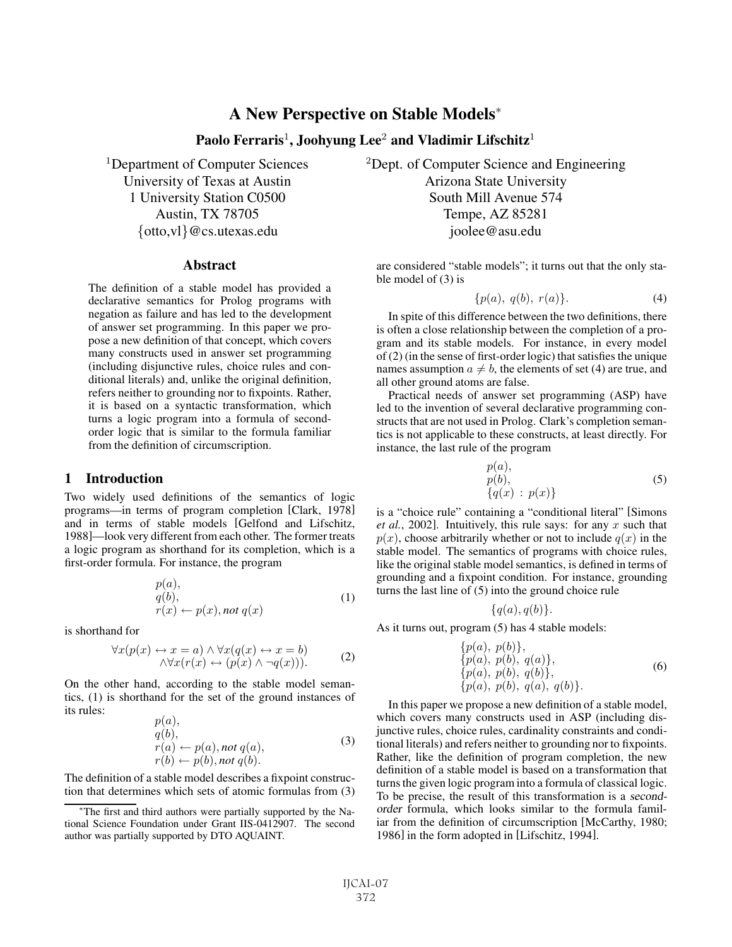# A New Perspective on Stable Models<sup>∗</sup>

# Paolo Ferraris<sup>1</sup>, Joohyung Lee<sup>2</sup> and Vladimir Lifschitz<sup>1</sup>

#### **Abstract**

The definition of a stable model has provided a declarative semantics for Prolog programs with negation as failure and has led to the development of answer set programming. In this paper we propose a new definition of that concept, which covers many constructs used in answer set programming (including disjunctive rules, choice rules and conditional literals) and, unlike the original definition, refers neither to grounding nor to fixpoints. Rather, it is based on a syntactic transformation, which turns a logic program into a formula of secondorder logic that is similar to the formula familiar from the definition of circumscription.

### 1 Introduction

Two widely used definitions of the semantics of logic programs—in terms of program completion [Clark, 1978] and in terms of stable models [Gelfond and Lifschitz, 1988]—look very different from each other. The former treats a logic program as shorthand for its completion, which is a first-order formula. For instance, the program

$$
p(a), q(b), r(x) \leftarrow p(x), not \, q(x)
$$
 (1)

is shorthand for

$$
\forall x(p(x) \leftrightarrow x = a) \land \forall x(q(x) \leftrightarrow x = b) \land \forall x(r(x) \leftrightarrow (p(x) \land \neg q(x))).
$$
 (2)

On the other hand, according to the stable model semantics, (1) is shorthand for the set of the ground instances of its rules:

$$
p(a), q(b), r(a) \leftarrow p(a), not q(a), r(b) \leftarrow p(b), not q(b).
$$
 (3)

The definition of a stable model describes a fixpoint construction that determines which sets of atomic formulas from (3)

<sup>1</sup>Department of Computer Sciences <sup>2</sup>Dept. of Computer Science and Engineering University of Texas at Austin **Arizona** State University 1 University Station C0500 South Mill Avenue 574 Austin, TX 78705 Tempe, AZ 85281 {otto,vl}@cs.utexas.edu joolee@asu.edu

> are considered "stable models"; it turns out that the only stable model of (3) is

$$
\{p(a), q(b), r(a)\}.
$$
 (4)

In spite of this difference between the two definitions, there is often a close relationship between the completion of a program and its stable models. For instance, in every model of (2) (in the sense of first-order logic) that satisfies the unique names assumption  $a \neq b$ , the elements of set (4) are true, and all other ground atoms are false.

Practical needs of answer set programming (ASP) have led to the invention of several declarative programming constructs that are not used in Prolog. Clark's completion semantics is not applicable to these constructs, at least directly. For instance, the last rule of the program

$$
p(a), \n p(b), \n{q(x) : p(x)}
$$
\n(5)

is a "choice rule" containing a "conditional literal" [Simons *et al.*, 2002]. Intuitively, this rule says: for any x such that  $p(x)$ , choose arbitrarily whether or not to include  $q(x)$  in the stable model. The semantics of programs with choice rules, like the original stable model semantics, is defined in terms of grounding and a fixpoint condition. For instance, grounding turns the last line of  $(5)$  into the ground choice rule

$$
\{q(a), q(b)\}.
$$

As it turns out, program (5) has 4 stable models:

$$
\begin{array}{l}\n\{p(a),\ p(b)\}, \\
\{p(a),\ p(b),\ q(a)\}, \\
\{p(a),\ p(b),\ q(b)\}, \\
\{p(a),\ p(b),\ q(a),\ q(b)\}.\n\end{array} \tag{6}
$$

In this paper we propose a new definition of a stable model, which covers many constructs used in ASP (including disjunctive rules, choice rules, cardinality constraints and conditional literals) and refers neither to grounding nor to fixpoints. Rather, like the definition of program completion, the new definition of a stable model is based on a transformation that turns the given logic program into a formula of classical logic. To be precise, the result of this transformation is a secondorder formula, which looks similar to the formula familiar from the definition of circumscription [McCarthy, 1980; 1986] in the form adopted in [Lifschitz, 1994].

<sup>∗</sup>The first and third authors were partially supported by the National Science Foundation under Grant IIS-0412907. The second author was partially supported by DTO AQUAINT.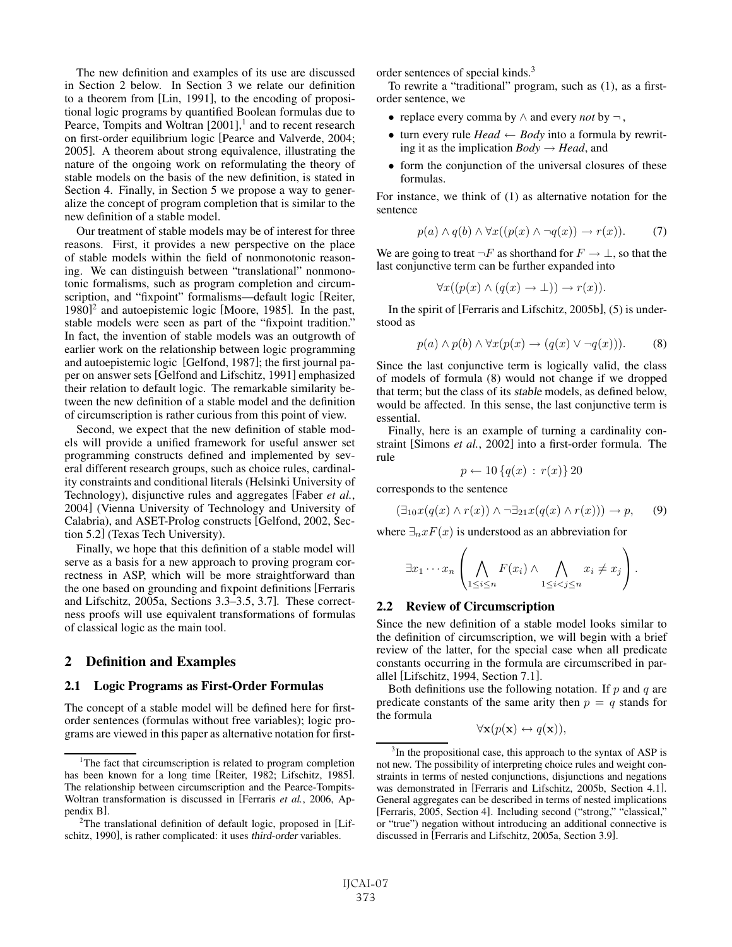The new definition and examples of its use are discussed in Section 2 below. In Section 3 we relate our definition to a theorem from [Lin, 1991], to the encoding of propositional logic programs by quantified Boolean formulas due to Pearce, Tompits and Woltran  $[2001]$ ,<sup>1</sup> and to recent research on first-order equilibrium logic [Pearce and Valverde, 2004; 2005]. A theorem about strong equivalence, illustrating the nature of the ongoing work on reformulating the theory of stable models on the basis of the new definition, is stated in Section 4. Finally, in Section 5 we propose a way to generalize the concept of program completion that is similar to the new definition of a stable model.

Our treatment of stable models may be of interest for three reasons. First, it provides a new perspective on the place of stable models within the field of nonmonotonic reasoning. We can distinguish between "translational" nonmonotonic formalisms, such as program completion and circumscription, and "fixpoint" formalisms—default logic [Reiter, 1980]<sup>2</sup> and autoepistemic logic [Moore, 1985]. In the past, stable models were seen as part of the "fixpoint tradition." In fact, the invention of stable models was an outgrowth of earlier work on the relationship between logic programming and autoepistemic logic [Gelfond, 1987]; the first journal paper on answer sets [Gelfond and Lifschitz, 1991] emphasized their relation to default logic. The remarkable similarity between the new definition of a stable model and the definition of circumscription is rather curious from this point of view.

Second, we expect that the new definition of stable models will provide a unified framework for useful answer set programming constructs defined and implemented by several different research groups, such as choice rules, cardinality constraints and conditional literals (Helsinki University of Technology), disjunctive rules and aggregates [Faber *et al.*, 2004] (Vienna University of Technology and University of Calabria), and ASET-Prolog constructs [Gelfond, 2002, Section 5.2] (Texas Tech University).

Finally, we hope that this definition of a stable model will serve as a basis for a new approach to proving program correctness in ASP, which will be more straightforward than the one based on grounding and fixpoint definitions [Ferraris and Lifschitz, 2005a, Sections 3.3–3.5, 3.7]. These correctness proofs will use equivalent transformations of formulas of classical logic as the main tool.

## 2 Definition and Examples

#### 2.1 Logic Programs as First-Order Formulas

The concept of a stable model will be defined here for firstorder sentences (formulas without free variables); logic programs are viewed in this paper as alternative notation for firstorder sentences of special kinds.<sup>3</sup>

To rewrite a "traditional" program, such as (1), as a firstorder sentence, we

- replace every comma by ∧ and every *not* by ¬,
- turn every rule *Head*  $\leftarrow$  *Body* into a formula by rewriting it as the implication  $Body \rightarrow Head$ , and
- form the conjunction of the universal closures of these formulas.

For instance, we think of (1) as alternative notation for the sentence

$$
p(a) \land q(b) \land \forall x((p(x) \land \neg q(x)) \to r(x)). \tag{7}
$$

We are going to treat  $\neg F$  as shorthand for  $F \to \bot$ , so that the last conjunctive term can be further expanded into

$$
\forall x((p(x) \land (q(x) \to \bot)) \to r(x)).
$$

In the spirit of [Ferraris and Lifschitz, 2005b], (5) is understood as

$$
p(a) \land p(b) \land \forall x (p(x) \to (q(x) \lor \neg q(x))).
$$
 (8)

Since the last conjunctive term is logically valid, the class of models of formula (8) would not change if we dropped that term; but the class of its stable models, as defined below, would be affected. In this sense, the last conjunctive term is essential.

Finally, here is an example of turning a cardinality constraint [Simons *et al.*, 2002] into a first-order formula. The rule

$$
p \leftarrow 10\left\{q(x) \,:\, r(x)\right\} 20
$$

corresponds to the sentence

$$
(\exists_{10} x(q(x) \land r(x)) \land \neg \exists_{21} x(q(x) \land r(x))) \to p, \quad (9)
$$

where  $\exists_n x F(x)$  is understood as an abbreviation for

$$
\exists x_1 \cdots x_n \left( \bigwedge_{1 \leq i \leq n} F(x_i) \wedge \bigwedge_{1 \leq i < j \leq n} x_i \neq x_j \right).
$$

#### 2.2 Review of Circumscription

Since the new definition of a stable model looks similar to the definition of circumscription, we will begin with a brief review of the latter, for the special case when all predicate constants occurring in the formula are circumscribed in parallel [Lifschitz, 1994, Section 7.1].

Both definitions use the following notation. If  $p$  and  $q$  are predicate constants of the same arity then  $p = q$  stands for the formula

$$
\forall \mathbf{x}(p(\mathbf{x}) \leftrightarrow q(\mathbf{x})),
$$

<sup>&</sup>lt;sup>1</sup>The fact that circumscription is related to program completion has been known for a long time [Reiter, 1982; Lifschitz, 1985]. The relationship between circumscription and the Pearce-Tompits-Woltran transformation is discussed in [Ferraris *et al.*, 2006, Appendix B].

<sup>&</sup>lt;sup>2</sup>The translational definition of default logic, proposed in [Lifschitz, 1990], is rather complicated: it uses third-order variables.

<sup>&</sup>lt;sup>3</sup>In the propositional case, this approach to the syntax of ASP is not new. The possibility of interpreting choice rules and weight constraints in terms of nested conjunctions, disjunctions and negations was demonstrated in [Ferraris and Lifschitz, 2005b, Section 4.1]. General aggregates can be described in terms of nested implications [Ferraris, 2005, Section 4]. Including second ("strong," "classical," or "true") negation without introducing an additional connective is discussed in [Ferraris and Lifschitz, 2005a, Section 3.9].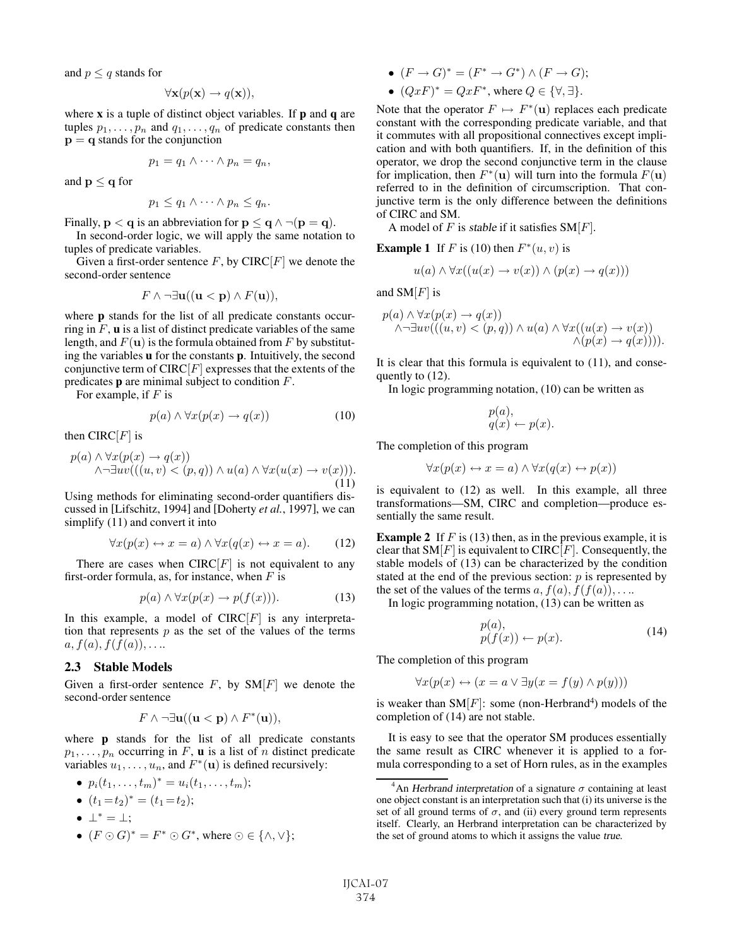and  $p \leq q$  stands for

$$
\forall \mathbf{x}(p(\mathbf{x}) \to q(\mathbf{x})),
$$

where  $x$  is a tuple of distinct object variables. If  $p$  and  $q$  are tuples  $p_1, \ldots, p_n$  and  $q_1, \ldots, q_n$  of predicate constants then **p** = **q** stands for the conjunction

$$
p_1 = q_1 \wedge \cdots \wedge p_n = q_n,
$$

and  $p \le q$  for

$$
p_1 \leq q_1 \wedge \cdots \wedge p_n \leq q_n.
$$

Finally,  $\mathbf{p} < \mathbf{q}$  is an abbreviation for  $\mathbf{p} \leq \mathbf{q} \wedge \neg(\mathbf{p} = \mathbf{q})$ .

In second-order logic, we will apply the same notation to tuples of predicate variables.

Given a first-order sentence  $F$ , by CIRC $[F]$  we denote the second-order sentence

$$
F \wedge \neg \exists \mathbf{u} ((\mathbf{u} < \mathbf{p}) \wedge F(\mathbf{u})),
$$

where **p** stands for the list of all predicate constants occurring in  $F$ ,  $\bf{u}$  is a list of distinct predicate variables of the same length, and  $F(\mathbf{u})$  is the formula obtained from F by substituting the variables u for the constants p. Intuitively, the second conjunctive term of  $CIRC[F]$  expresses that the extents of the predicates p are minimal subject to condition F.

For example, if  $F$  is

$$
p(a) \land \forall x (p(x) \to q(x)) \tag{10}
$$

then CIRC $[F]$  is

$$
p(a) \land \forall x (p(x) \to q(x)) \land \neg \exists uv (((u, v) < (p, q)) \land u(a) \land \forall x (u(x) \to v(x))).
$$
\n(11)

Using methods for eliminating second-order quantifiers discussed in [Lifschitz, 1994] and [Doherty *et al.*, 1997], we can simplify (11) and convert it into

$$
\forall x (p(x) \leftrightarrow x = a) \land \forall x (q(x) \leftrightarrow x = a). \tag{12}
$$

There are cases when  $CIRC[F]$  is not equivalent to any first-order formula, as, for instance, when  $F$  is

$$
p(a) \land \forall x (p(x) \to p(f(x))). \tag{13}
$$

In this example, a model of  $CIRC[F]$  is any interpretation that represents  $p$  as the set of the values of the terms  $a, f(a), f(f(a)), \ldots$ 

## 2.3 Stable Models

Given a first-order sentence  $F$ , by  $SM[F]$  we denote the second-order sentence

$$
F \wedge \neg \exists \mathbf{u} ((\mathbf{u} < \mathbf{p}) \wedge F^*(\mathbf{u})),
$$

where **p** stands for the list of all predicate constants  $p_1, \ldots, p_n$  occurring in F, **u** is a list of n distinct predicate variables  $u_1, \ldots, u_n$ , and  $F^*(\mathbf{u})$  is defined recursively:

$$
\bullet \ \ p_i(t_1,\ldots,t_m)^* = u_i(t_1,\ldots,t_m);
$$

- $(t_1 = t_2)^* = (t_1 = t_2);$
- $\bot^* = \bot$ :
- $(F \odot G)^* = F^* \odot G^*$ , where  $\odot \in \{\land, \lor\};$
- $(F \to G)^* = (F^* \to G^*) \wedge (F \to G);$
- $(QxF)^* = QxF^*$ , where  $Q \in {\forall, \exists}.$

Note that the operator  $F \mapsto F^*(\mathbf{u})$  replaces each predicate constant with the corresponding predicate variable, and that it commutes with all propositional connectives except implication and with both quantifiers. If, in the definition of this operator, we drop the second conjunctive term in the clause for implication, then  $F^*(\mathbf{u})$  will turn into the formula  $F(\mathbf{u})$ referred to in the definition of circumscription. That conjunctive term is the only difference between the definitions of CIRC and SM.

A model of  $F$  is stable if it satisfies  $SM[F]$ .

**Example 1** If F is (10) then  $F^*(u, v)$  is

$$
u(a) \land \forall x((u(x) \to v(x)) \land (p(x) \to q(x)))
$$

and  $SM[F]$  is

$$
p(a) \land \forall x (p(x) \to q(x))
$$
  

$$
\land \neg \exists uv (((u, v) < (p, q)) \land u(a) \land \forall x ((u(x) \to v(x)))
$$
  

$$
\land (p(x) \to q(x)))))
$$
.

It is clear that this formula is equivalent to (11), and consequently to (12).

In logic programming notation, (10) can be written as

$$
p(a), q(x) \leftarrow p(x).
$$

The completion of this program

$$
\forall x(p(x) \leftrightarrow x = a) \land \forall x(q(x) \leftrightarrow p(x))
$$

is equivalent to (12) as well. In this example, all three transformations—SM, CIRC and completion—produce essentially the same result.

**Example 2** If  $F$  is (13) then, as in the previous example, it is clear that  $SM[F]$  is equivalent to CIRC[F]. Consequently, the stable models of (13) can be characterized by the condition stated at the end of the previous section:  $p$  is represented by the set of the values of the terms a,  $f(a)$ ,  $f(f(a))$ ,....

In logic programming notation, (13) can be written as

$$
\begin{array}{l} p(a), \\ p(f(x)) \leftarrow p(x). \end{array} \tag{14}
$$

The completion of this program

$$
\forall x (p(x) \leftrightarrow (x = a \lor \exists y (x = f(y) \land p(y)))
$$

is weaker than  $SM[F]$ : some (non-Herbrand<sup>4</sup>) models of the completion of (14) are not stable.

It is easy to see that the operator SM produces essentially the same result as CIRC whenever it is applied to a formula corresponding to a set of Horn rules, as in the examples

<sup>&</sup>lt;sup>4</sup>An Herbrand interpretation of a signature  $\sigma$  containing at least one object constant is an interpretation such that (i) its universe is the set of all ground terms of  $\sigma$ , and (ii) every ground term represents itself. Clearly, an Herbrand interpretation can be characterized by the set of ground atoms to which it assigns the value true.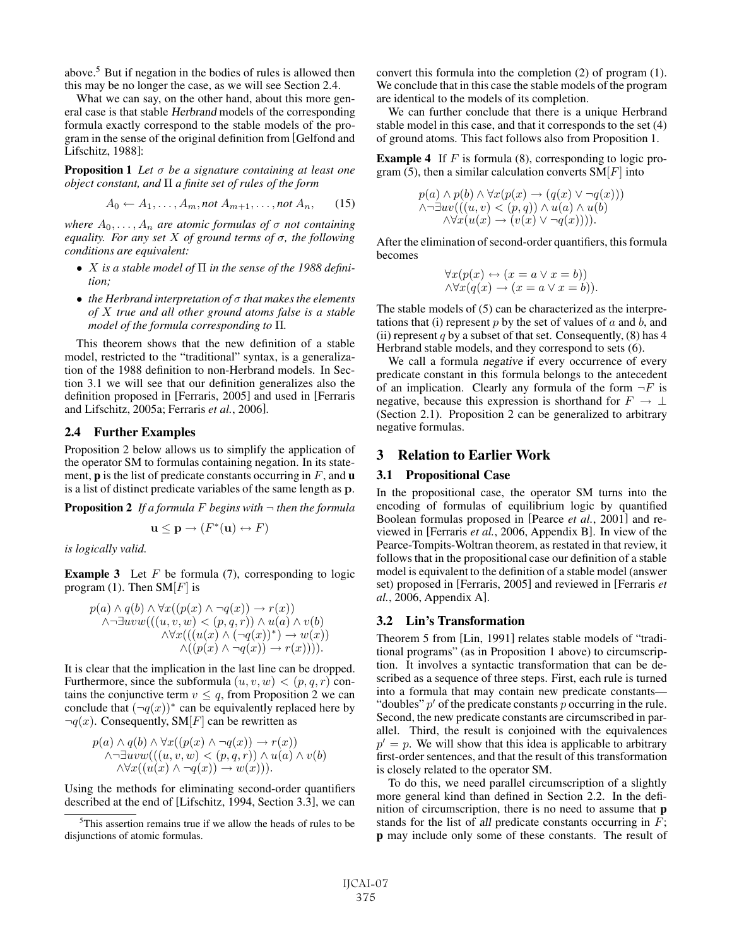above.<sup>5</sup> But if negation in the bodies of rules is allowed then this may be no longer the case, as we will see Section 2.4.

What we can say, on the other hand, about this more general case is that stable Herbrand models of the corresponding formula exactly correspond to the stable models of the program in the sense of the original definition from [Gelfond and Lifschitz, 1988]:

Proposition 1 *Let* σ *be a signature containing at least one object constant, and* Π *a finite set of rules of the form*

$$
A_0 \leftarrow A_1, \dots, A_m, \text{not } A_{m+1}, \dots, \text{not } A_n, \qquad (15)
$$

*where*  $A_0, \ldots, A_n$  *are atomic formulas of*  $\sigma$  *not containing equality. For any set* X *of ground terms of* σ*, the following conditions are equivalent:*

- X *is a stable model of* Π *in the sense of the 1988 definition;*
- *the Herbrand interpretation of* σ *that makes the elements of* X *true and all other ground atoms false is a stable model of the formula corresponding to* Π*.*

This theorem shows that the new definition of a stable model, restricted to the "traditional" syntax, is a generalization of the 1988 definition to non-Herbrand models. In Section 3.1 we will see that our definition generalizes also the definition proposed in [Ferraris, 2005] and used in [Ferraris and Lifschitz, 2005a; Ferraris *et al.*, 2006].

#### 2.4 Further Examples

Proposition 2 below allows us to simplify the application of the operator SM to formulas containing negation. In its statement, **p** is the list of predicate constants occurring in  $F$ , and **u** is a list of distinct predicate variables of the same length as **p**.

Proposition 2 *If a formula* F *begins with* ¬ *then the formula*

$$
\mathbf{u} \le \mathbf{p} \to (F^*(\mathbf{u}) \leftrightarrow F)
$$

*is logically valid.*

**Example 3** Let  $F$  be formula (7), corresponding to logic program (1). Then  $SM[F]$  is

$$
p(a) \land q(b) \land \forall x((p(x) \land \neg q(x)) \to r(x))
$$
  

$$
\land \neg \exists uvw(((u, v, w) < (p, q, r)) \land u(a) \land v(b)
$$
  

$$
\land \forall x(((u(x) \land (\neg q(x))^*) \to w(x))
$$
  

$$
\land ((p(x) \land \neg q(x)) \to r(x)))).
$$

It is clear that the implication in the last line can be dropped. Furthermore, since the subformula  $(u, v, w) < (p, q, r)$  contains the conjunctive term  $v \leq q$ , from Proposition 2 we can conclude that  $(\neg q(x))^*$  can be equivalently replaced here by  $\neg q(x)$ . Consequently, SM[F] can be rewritten as

$$
p(a) \land q(b) \land \forall x((p(x) \land \neg q(x)) \to r(x))
$$
  
 \land \neg \exists uvw(((u, v, w) < (p, q, r)) \land u(a) \land v(b)  
 \land \forall x((u(x) \land \neg q(x)) \to w(x))).

Using the methods for eliminating second-order quantifiers described at the end of [Lifschitz, 1994, Section 3.3], we can convert this formula into the completion (2) of program (1). We conclude that in this case the stable models of the program are identical to the models of its completion.

We can further conclude that there is a unique Herbrand stable model in this case, and that it corresponds to the set (4) of ground atoms. This fact follows also from Proposition 1.

**Example 4** If  $F$  is formula (8), corresponding to logic program (5), then a similar calculation converts  $SM[F]$  into

$$
p(a) \land p(b) \land \forall x (p(x) \to (q(x) \lor \neg q(x)))
$$
  

$$
\land \neg \exists uv (((u, v) < (p, q)) \land u(a) \land u(b)
$$
  

$$
\land \forall x (u(x) \to (v(x) \lor \neg q(x)))).
$$

After the elimination of second-order quantifiers, this formula becomes

$$
\forall x(p(x) \leftrightarrow (x = a \lor x = b))
$$
  

$$
\land \forall x(q(x) \rightarrow (x = a \lor x = b)).
$$

The stable models of (5) can be characterized as the interpretations that (i) represent  $p$  by the set of values of  $a$  and  $b$ , and (ii) represent q by a subset of that set. Consequently,  $(8)$  has 4 Herbrand stable models, and they correspond to sets (6).

We call a formula negative if every occurrence of every predicate constant in this formula belongs to the antecedent of an implication. Clearly any formula of the form  $\neg F$  is negative, because this expression is shorthand for  $F \to \bot$ (Section 2.1). Proposition 2 can be generalized to arbitrary negative formulas.

# 3 Relation to Earlier Work

#### 3.1 Propositional Case

In the propositional case, the operator SM turns into the encoding of formulas of equilibrium logic by quantified Boolean formulas proposed in [Pearce *et al.*, 2001] and reviewed in [Ferraris *et al.*, 2006, Appendix B]. In view of the Pearce-Tompits-Woltran theorem, as restated in that review, it follows that in the propositional case our definition of a stable model is equivalent to the definition of a stable model (answer set) proposed in [Ferraris, 2005] and reviewed in [Ferraris *et al.*, 2006, Appendix A].

#### 3.2 Lin's Transformation

Theorem 5 from [Lin, 1991] relates stable models of "traditional programs" (as in Proposition 1 above) to circumscription. It involves a syntactic transformation that can be described as a sequence of three steps. First, each rule is turned into a formula that may contain new predicate constants— "doubles"  $p'$  of the predicate constants p occurring in the rule. Second, the new predicate constants are circumscribed in parallel. Third, the result is conjoined with the equivalences  $p' = p$ . We will show that this idea is applicable to arbitrary first-order sentences, and that the result of this transformation is closely related to the operator SM.

To do this, we need parallel circumscription of a slightly more general kind than defined in Section 2.2. In the definition of circumscription, there is no need to assume that p stands for the list of all predicate constants occurring in  $F$ ; p may include only some of these constants. The result of

<sup>5</sup> This assertion remains true if we allow the heads of rules to be disjunctions of atomic formulas.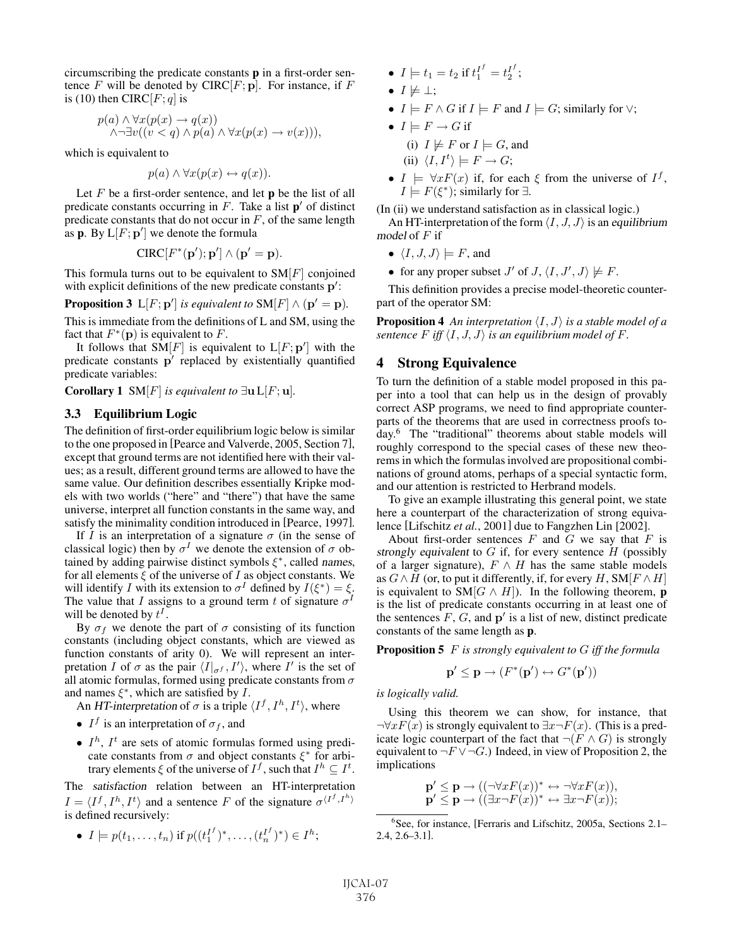circumscribing the predicate constants p in a first-order sentence  $F$  will be denoted by CIRC $[F; \mathbf{p}]$ . For instance, if  $F$ is (10) then CIRC[ $F; q$ ] is

$$
p(a) \land \forall x (p(x) \to q(x))
$$
  

$$
\land \neg \exists v ((v < q) \land p(a) \land \forall x (p(x) \to v(x))),
$$

which is equivalent to

 $p(a) \land \forall x (p(x) \leftrightarrow q(x)).$ 

Let  $F$  be a first-order sentence, and let  $\bf{p}$  be the list of all predicate constants occurring in  $F$ . Take a list  $p'$  of distinct predicate constants that do not occur in  $F$ , of the same length as  $\mathbf{p}$ . By  $\mathbf{L}[F; \mathbf{p}']$  we denote the formula

 $CIRC[F^*(p'); p'] \wedge (p' = p).$ 

This formula turns out to be equivalent to  $SM[F]$  conjoined with explicit definitions of the new predicate constants **p** :

**Proposition 3**  $L[F; \mathbf{p}']$  *is equivalent to*  $SM[F] \wedge (\mathbf{p}' = \mathbf{p})$ *.* 

This is immediate from the definitions of L and SM, using the fact that  $F^*(p)$  is equivalent to F.

It follows that  $SM[F]$  is equivalent to  $L[F; \mathbf{p}']$  with the predicate constants **p**<sup>'</sup> replaced by existentially quantified predicate variables:

Corollary 1 SM[F] *is equivalent to*  $\exists$ **u** L[F; **u**]*.* 

# 3.3 Equilibrium Logic

The definition of first-order equilibrium logic below is similar to the one proposed in [Pearce and Valverde, 2005, Section 7], except that ground terms are not identified here with their values; as a result, different ground terms are allowed to have the same value. Our definition describes essentially Kripke models with two worlds ("here" and "there") that have the same universe, interpret all function constants in the same way, and satisfy the minimality condition introduced in [Pearce, 1997].

If I is an interpretation of a signature  $\sigma$  (in the sense of classical logic) then by  $\sigma^I$  we denote the extension of  $\sigma$  obtained by adding pairwise distinct symbols  $\xi^*$ , called names, for all elements  $\xi$  of the universe of I as object constants. We will identify I with its extension to  $\sigma^I$  defined by  $I(\xi^*) = \xi$ . The value that I assigns to a ground term t of signature  $\sigma$ <sup>I</sup> will be denoted by  $t^1$ .

By  $\sigma_f$  we denote the part of  $\sigma$  consisting of its function constants (including object constants, which are viewed as function constants of arity 0). We will represent an interpretation I of  $\sigma$  as the pair  $\langle I|_{\sigma f}$ ,  $I' \rangle$ , where I' is the set of all atomic formulas, formed using predicate constants from  $\sigma$ and names  $\xi^*$ , which are satisfied by *I*.

An HT-interpretation of  $\sigma$  is a triple  $\langle I^f, I^h, I^t \rangle$ , where

- $I^f$  is an interpretation of  $\sigma_f$ , and
- $I<sup>h</sup>$ ,  $I<sup>t</sup>$  are sets of atomic formulas formed using predicate constants from  $\sigma$  and object constants  $\xi^*$  for arbitrary elements  $\xi$  of the universe of  $I^f$ , such that  $I^h \subseteq I^t$ .

The satisfaction relation between an HT-interpretation  $I = \langle I^f, I^h, I^t \rangle$  and a sentence F of the signature  $\sigma^{I^f, I^h}$ is defined recursively:

•  $I \models p(t_1, \ldots, t_n)$  if  $p((t_1^{I^f})^*, \ldots, (t_n^{I^f})^*) \in I^h$ ;

- $I \models t_1 = t_2 \text{ if } t_1^{I^f} = t_2^{I^f};$
- $I \not\models \bot$ :
- $I \models F \land G$  if  $I \models F$  and  $I \models G$ ; similarly for  $\vee$ ;
- $\bullet\; I \models F \rightarrow G$  if (i)  $I \not\models F$  or  $I \models G$ , and (ii)  $\langle I, I^t \rangle \models F \rightarrow G;$
- $I \models \forall x F(x)$  if, for each  $\xi$  from the universe of  $I^f$ ,  $I \models F(\xi^*)$ ; similarly for  $\exists$ .

(In (ii) we understand satisfaction as in classical logic.)

An HT-interpretation of the form  $\langle I, J, J \rangle$  is an equilibrium model of  $F$  if

- $\langle I, J, J \rangle \models F$ , and
- for any proper subset  $J'$  of  $J$ ,  $\langle I, J', J \rangle \not\models F$ .

This definition provides a precise model-theoretic counterpart of the operator SM:

**Proposition 4** An interpretation  $\langle I, J \rangle$  is a stable model of a *sentence*  $F$  *iff*  $\langle I, J, J \rangle$  *is an equilibrium model of*  $F$ *.* 

### 4 Strong Equivalence

To turn the definition of a stable model proposed in this paper into a tool that can help us in the design of provably correct ASP programs, we need to find appropriate counterparts of the theorems that are used in correctness proofs today.<sup>6</sup> The "traditional" theorems about stable models will roughly correspond to the special cases of these new theorems in which the formulas involved are propositional combinations of ground atoms, perhaps of a special syntactic form, and our attention is restricted to Herbrand models.

To give an example illustrating this general point, we state here a counterpart of the characterization of strong equivalence [Lifschitz *et al.*, 2001] due to Fangzhen Lin [2002].

About first-order sentences  $F$  and  $G$  we say that  $F$  is strongly equivalent to  $G$  if, for every sentence  $H$  (possibly of a larger signature),  $F \wedge H$  has the same stable models as  $G \wedge H$  (or, to put it differently, if, for every H, SM[ $F \wedge H$ ] is equivalent to SM[ $G \wedge H$ ]). In the following theorem, **p** is the list of predicate constants occurring in at least one of the sentences  $F$ ,  $G$ , and  $p'$  is a list of new, distinct predicate constants of the same length as p.

Proposition 5 F *is strongly equivalent to* G *iff the formula*

$$
\mathbf{p}' \leq \mathbf{p} \to (F^*(\mathbf{p}') \leftrightarrow G^*(\mathbf{p}'))
$$

*is logically valid.*

Using this theorem we can show, for instance, that  $\neg \forall x F(x)$  is strongly equivalent to  $\exists x \neg F(x)$ . (This is a predicate logic counterpart of the fact that  $\neg (F \wedge G)$  is strongly equivalent to  $\neg F \vee \neg G$ .) Indeed, in view of Proposition 2, the implications

$$
\mathbf{p}' \leq \mathbf{p} \to ((\neg \forall x F(x))^* \leftrightarrow \neg \forall x F(x)),
$$
  

$$
\mathbf{p}' \leq \mathbf{p} \to ((\exists x \neg F(x))^* \leftrightarrow \exists x \neg F(x));
$$

<sup>6</sup> See, for instance, [Ferraris and Lifschitz, 2005a, Sections 2.1– 2.4, 2.6–3.1].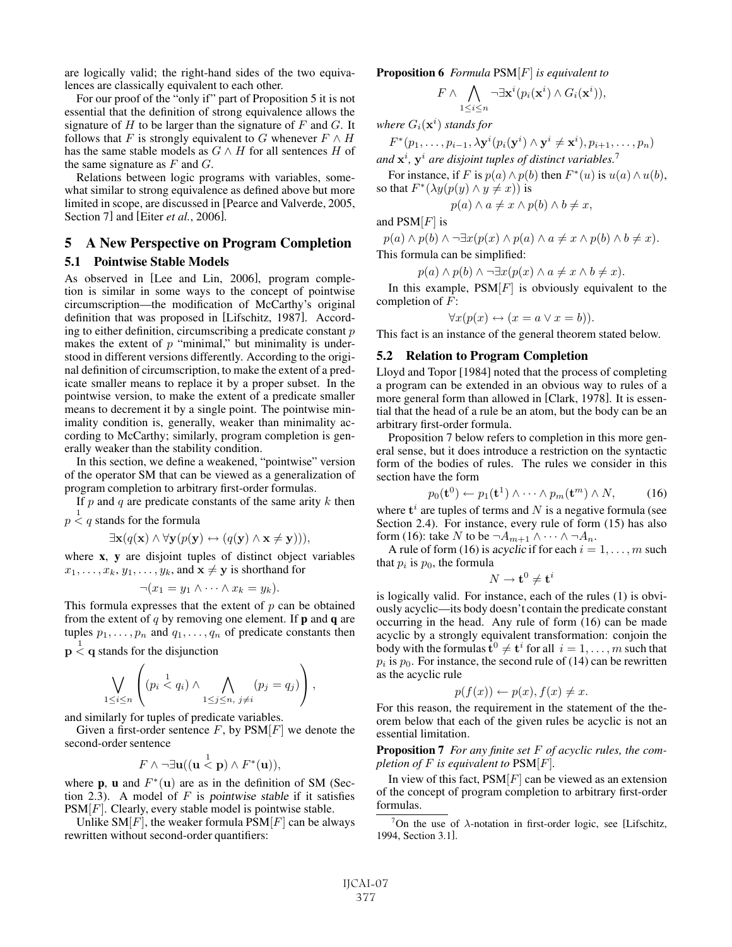are logically valid; the right-hand sides of the two equivalences are classically equivalent to each other.

For our proof of the "only if" part of Proposition 5 it is not essential that the definition of strong equivalence allows the signature of  $H$  to be larger than the signature of  $F$  and  $G$ . It follows that F is strongly equivalent to G whenever  $F \wedge H$ has the same stable models as  $G \wedge H$  for all sentences H of the same signature as  $F$  and  $G$ .

Relations between logic programs with variables, somewhat similar to strong equivalence as defined above but more limited in scope, are discussed in [Pearce and Valverde, 2005, Section 7] and [Eiter *et al.*, 2006].

# 5 A New Perspective on Program Completion

#### 5.1 Pointwise Stable Models

As observed in [Lee and Lin, 2006], program completion is similar in some ways to the concept of pointwise circumscription—the modification of McCarthy's original definition that was proposed in [Lifschitz, 1987]. According to either definition, circumscribing a predicate constant  $p$ makes the extent of  $p$  "minimal," but minimality is understood in different versions differently. According to the original definition of circumscription, to make the extent of a predicate smaller means to replace it by a proper subset. In the pointwise version, to make the extent of a predicate smaller means to decrement it by a single point. The pointwise minimality condition is, generally, weaker than minimality according to McCarthy; similarly, program completion is generally weaker than the stability condition.

In this section, we define a weakened, "pointwise" version of the operator SM that can be viewed as a generalization of program completion to arbitrary first-order formulas.

If  $p$  and  $q$  are predicate constants of the same arity  $k$  then  $p < q$  stands for the formula

$$
\exists \mathbf{x} (q(\mathbf{x}) \land \forall \mathbf{y} (p(\mathbf{y}) \leftrightarrow (q(\mathbf{y}) \land \mathbf{x} \neq \mathbf{y}))),
$$

where x, y are disjoint tuples of distinct object variables  $x_1, \ldots, x_k, y_1, \ldots, y_k$ , and  $\mathbf{x} \neq \mathbf{y}$  is shorthand for

$$
\neg (x_1 = y_1 \land \cdots \land x_k = y_k).
$$

This formula expresses that the extent of  $p$  can be obtained from the extent of q by removing one element. If  $\bf{p}$  and  $\bf{q}$  are tuples  $p_1, \ldots, p_n$  and  $q_1, \ldots, q_n$  of predicate constants then

 $p \nless q$  stands for the disjunction

$$
\bigvee_{1\leq i\leq n}\left((p_i\stackrel{1}{\lt q_i})\wedge\bigwedge_{1\leq j\leq n,\ j\neq i}(p_j=q_j)\right),
$$

and similarly for tuples of predicate variables.

Given a first-order sentence  $F$ , by  $PSM[F]$  we denote the second-order sentence

$$
F \wedge \neg \exists \mathbf{u} ((\mathbf{u} \stackrel{1}{<} \mathbf{p}) \wedge F^*(\mathbf{u})),
$$

where **p**, **u** and  $F^*(u)$  are as in the definition of SM (Section 2.3). A model of  $F$  is pointwise stable if it satisfies  $PSM[F]$ . Clearly, every stable model is pointwise stable.

Unlike SM $[F]$ , the weaker formula PSM $[F]$  can be always rewritten without second-order quantifiers:

Proposition 6 *Formula* PSM[F] *is equivalent to*

$$
F \wedge \bigwedge_{1 \leq i \leq n} \neg \exists \mathbf{x}^i (p_i(\mathbf{x}^i) \wedge G_i(\mathbf{x}^i)),
$$

where  $G_i(\mathbf{x}^i)$  stands for

$$
F^*(p_1,\ldots,p_{i-1},\lambda \mathbf{y}^i(p_i(\mathbf{y}^i)\wedge \mathbf{y}^i\neq \mathbf{x}^i),p_{i+1},\ldots,p_n)
$$

*and* **x**<sup>i</sup> *,* **y**<sup>i</sup> *are disjoint tuples of distinct variables.*<sup>7</sup>

For instance, if F is  $p(a) \wedge p(b)$  then  $F^*(u)$  is  $u(a) \wedge u(b)$ , so that  $F^*(\lambda y(p(y) \wedge y \neq x))$  is

$$
p(a) \wedge a \neq x \wedge p(b) \wedge b \neq x,
$$

and  $PSM[F]$  is

 $p(a) \wedge p(b) \wedge \neg \exists x (p(x) \wedge p(a) \wedge a \neq x \wedge p(b) \wedge b \neq x).$ This formula can be simplified:

$$
p(a) \land p(b) \land \neg \exists x (p(x) \land a \neq x \land b \neq x).
$$

In this example,  $PSM[F]$  is obviously equivalent to the completion of  $F$ :

$$
\forall x(p(x) \leftrightarrow (x = a \lor x = b)).
$$

This fact is an instance of the general theorem stated below.

#### 5.2 Relation to Program Completion

Lloyd and Topor [1984] noted that the process of completing a program can be extended in an obvious way to rules of a more general form than allowed in [Clark, 1978]. It is essential that the head of a rule be an atom, but the body can be an arbitrary first-order formula.

Proposition 7 below refers to completion in this more general sense, but it does introduce a restriction on the syntactic form of the bodies of rules. The rules we consider in this section have the form

$$
p_0(\mathbf{t}^0) \leftarrow p_1(\mathbf{t}^1) \wedge \cdots \wedge p_m(\mathbf{t}^m) \wedge N, \tag{16}
$$

where  $t<sup>i</sup>$  are tuples of terms and N is a negative formula (see Section 2.4). For instance, every rule of form  $(15)$  has also form (16): take N to be  $\neg A_{m+1} \wedge \cdots \wedge \neg A_n$ .

A rule of form (16) is acyclic if for each  $i = 1, \ldots, m$  such that  $p_i$  is  $p_0$ , the formula

$$
N \to \mathbf{t}^0 \neq \mathbf{t}^i
$$

is logically valid. For instance, each of the rules (1) is obviously acyclic—its body doesn't contain the predicate constant occurring in the head. Any rule of form (16) can be made acyclic by a strongly equivalent transformation: conjoin the body with the formulas  $\mathbf{t}^0 \neq \mathbf{t}^i$  for all  $i = 1, \ldots, m$  such that  $p_i$  is  $p_0$ . For instance, the second rule of (14) can be rewritten as the acyclic rule

$$
p(f(x)) \leftarrow p(x), f(x) \neq x.
$$

For this reason, the requirement in the statement of the theorem below that each of the given rules be acyclic is not an essential limitation.

Proposition 7 *For any finite set* F *of acyclic rules, the completion of* F *is equivalent to* PSM[F]*.*

In view of this fact,  $PSM[F]$  can be viewed as an extension of the concept of program completion to arbitrary first-order formulas.

<sup>&</sup>lt;sup>7</sup>On the use of  $\lambda$ -notation in first-order logic, see [Lifschitz, 1994, Section 3.1].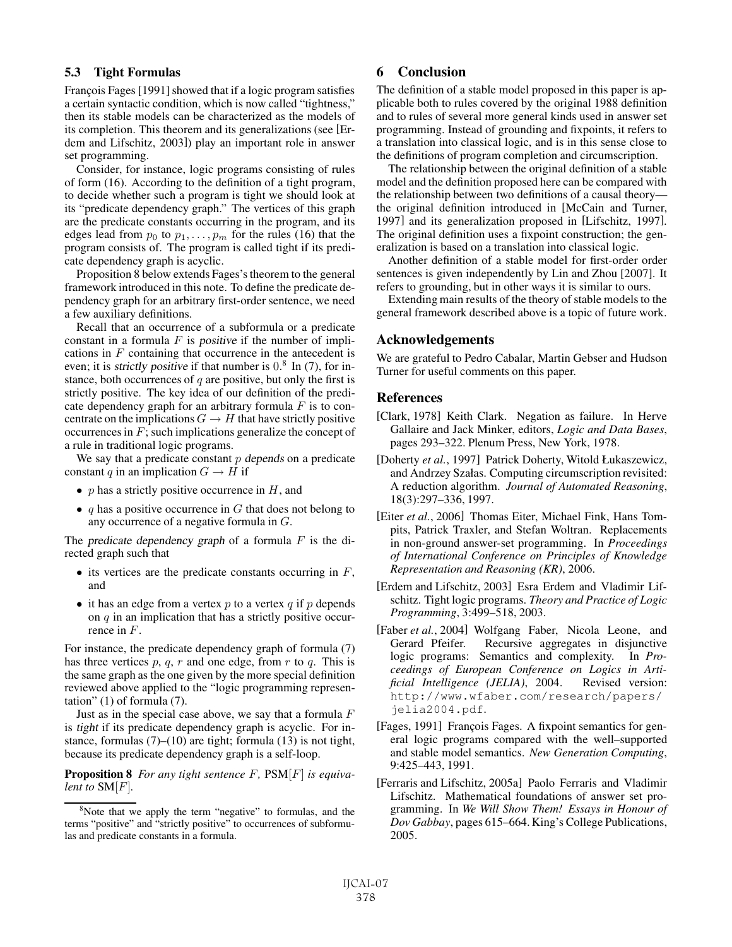## 5.3 Tight Formulas

François Fages [1991] showed that if a logic program satisfies a certain syntactic condition, which is now called "tightness," then its stable models can be characterized as the models of its completion. This theorem and its generalizations (see [Erdem and Lifschitz, 2003]) play an important role in answer set programming.

Consider, for instance, logic programs consisting of rules of form (16). According to the definition of a tight program, to decide whether such a program is tight we should look at its "predicate dependency graph." The vertices of this graph are the predicate constants occurring in the program, and its edges lead from  $p_0$  to  $p_1, \ldots, p_m$  for the rules (16) that the program consists of. The program is called tight if its predicate dependency graph is acyclic.

Proposition 8 below extends Fages's theorem to the general framework introduced in this note. To define the predicate dependency graph for an arbitrary first-order sentence, we need a few auxiliary definitions.

Recall that an occurrence of a subformula or a predicate constant in a formula  $F$  is *positive* if the number of implications in  $F$  containing that occurrence in the antecedent is even; it is *strictly positive* if that number is  $0.8 \text{ In } (7)$ , for instance, both occurrences of  $q$  are positive, but only the first is strictly positive. The key idea of our definition of the predicate dependency graph for an arbitrary formula  $F$  is to concentrate on the implications  $G \to H$  that have strictly positive occurrences in  $F$ ; such implications generalize the concept of a rule in traditional logic programs.

We say that a predicate constant  $p$  depends on a predicate constant q in an implication  $G \to H$  if

- p has a strictly positive occurrence in  $H$ , and
- $q$  has a positive occurrence in  $G$  that does not belong to any occurrence of a negative formula in G.

The predicate dependency graph of a formula  $F$  is the directed graph such that

- $\bullet$  its vertices are the predicate constants occurring in  $F$ , and
- it has an edge from a vertex  $p$  to a vertex  $q$  if  $p$  depends on  $q$  in an implication that has a strictly positive occurrence in F.

For instance, the predicate dependency graph of formula (7) has three vertices  $p, q, r$  and one edge, from  $r$  to  $q$ . This is the same graph as the one given by the more special definition reviewed above applied to the "logic programming representation" (1) of formula (7).

Just as in the special case above, we say that a formula  $F$ is tight if its predicate dependency graph is acyclic. For instance, formulas (7)–(10) are tight; formula (13) is not tight, because its predicate dependency graph is a self-loop.

Proposition 8 *For any tight sentence* F*,* PSM[F] *is equivalent to* SM[F]*.*

# 6 Conclusion

The definition of a stable model proposed in this paper is applicable both to rules covered by the original 1988 definition and to rules of several more general kinds used in answer set programming. Instead of grounding and fixpoints, it refers to a translation into classical logic, and is in this sense close to the definitions of program completion and circumscription.

The relationship between the original definition of a stable model and the definition proposed here can be compared with the relationship between two definitions of a causal theory the original definition introduced in [McCain and Turner, 1997] and its generalization proposed in [Lifschitz, 1997]. The original definition uses a fixpoint construction; the generalization is based on a translation into classical logic.

Another definition of a stable model for first-order order sentences is given independently by Lin and Zhou [2007]. It refers to grounding, but in other ways it is similar to ours.

Extending main results of the theory of stable models to the general framework described above is a topic of future work.

#### Acknowledgements

We are grateful to Pedro Cabalar, Martin Gebser and Hudson Turner for useful comments on this paper.

#### References

- [Clark, 1978] Keith Clark. Negation as failure. In Herve Gallaire and Jack Minker, editors, *Logic and Data Bases*, pages 293–322. Plenum Press, New York, 1978.
- [Doherty *et al.*, 1997] Patrick Doherty, Witold Łukaszewicz, and Andrzey Szałas. Computing circumscription revisited: A reduction algorithm. *Journal of Automated Reasoning*, 18(3):297–336, 1997.
- [Eiter et al., 2006] Thomas Eiter, Michael Fink, Hans Tompits, Patrick Traxler, and Stefan Woltran. Replacements in non-ground answer-set programming. In *Proceedings of International Conference on Principles of Knowledge Representation and Reasoning (KR)*, 2006.
- [Erdem and Lifschitz, 2003] Esra Erdem and Vladimir Lifschitz. Tight logic programs. *Theory and Practice of Logic Programming*, 3:499–518, 2003.
- [Faber *et al.*, 2004] Wolfgang Faber, Nicola Leone, and Gerard Pfeifer. Recursive aggregates in disjunctive logic programs: Semantics and complexity. In *Proceedings of European Conference on Logics in Artificial Intelligence (JELIA)*, 2004. http://www.wfaber.com/research/papers/ jelia2004.pdf.
- [Fages, 1991] François Fages. A fixpoint semantics for general logic programs compared with the well–supported and stable model semantics. *New Generation Computing*, 9:425–443, 1991.
- [Ferraris and Lifschitz, 2005a] Paolo Ferraris and Vladimir Lifschitz. Mathematical foundations of answer set programming. In *We Will Show Them! Essays in Honour of Dov Gabbay*, pages 615–664. King's College Publications, 2005.

<sup>&</sup>lt;sup>8</sup>Note that we apply the term "negative" to formulas, and the terms "positive" and "strictly positive" to occurrences of subformulas and predicate constants in a formula.